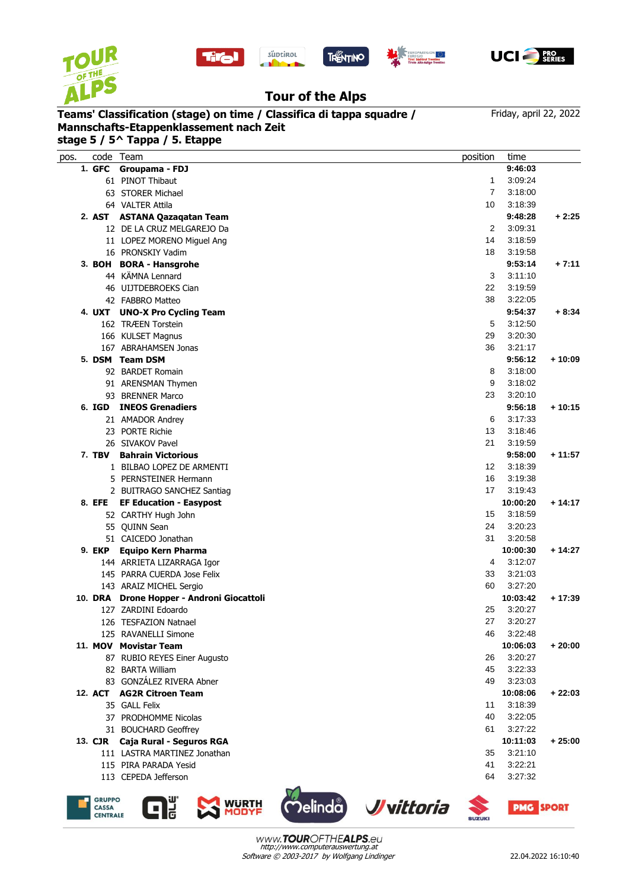

**GRUPPO** 

CASSA CENTRALE







REGION**IANA**<br>Irol Trentino

## **Tour of the Alps**

 SIVAKOV Pavel 21 3:19:59 **7. TBV Bahrain Victorious 9:58:00 + 11:57** 1 BILBAO LOPEZ DE ARMENTI 12 3:18:39 5 PERNSTEINER Hermann 16 3:19:38 2 BUITRAGO SANCHEZ Santiag 17 3:19:43 **8. EFE EF Education - Easypost 10:00:20 + 14:17** CARTHY Hugh John 15 3:18:59 QUINN Sean 24 3:20:23 CAICEDO Jonathan 31 3:20:58 **9. EKP Equipo Kern Pharma 10:00:30 + 14:27** ARRIETA LIZARRAGA Igor 4 3:12:07 PARRA CUERDA Jose Felix 33 3:21:03 ARAIZ MICHEL Sergio 60 3:27:20 **10. DRA Drone Hopper - Androni Giocattoli 10:03:42 + 17:39** ZARDINI Edoardo 25 3:20:27 TESFAZION Natnael 27 3:20:27 RAVANELLI Simone 46 3:22:48 **11. MOV Movistar Team 10:06:03 + 20:00** RUBIO REYES Einer Augusto 26 3:20:27 BARTA William 45 3:22:33 83 GONZÁLEZ RIVERA Abner 2008 and 2009 and 2009 and 2009 and 2009 and 2009 and 2009 and 2009 and 2009 and 2009 and 2009 and 2009 and 2009 and 2009 and 2009 and 2009 and 2009 and 2009 and 2009 and 2009 and 2009 and 2009 and **12. ACT AG2R Citroen Team 10:08:06 + 22:03** GALL Felix 11 3:18:39 PRODHOMME Nicolas 40 3:22:05 BOUCHARD Geoffrey 61 3:27:22 **13. CJR Caja Rural - Seguros RGA 10:11:03 + 25:00** LASTRA MARTINEZ Jonathan 35 3:21:10 PIRA PARADA Yesid 41 3:22:21 CEPEDA Jefferson 64 3:27:32

## **Mannschafts-Etappenklassement nach Zeit**

Friday, april 22, 2022

| Teams' Classification (stage) on time / Classifica di tappa squadre /<br>Mannschafts-Etappenklassement nach Zeit<br>stage 5 / 5^ Tappa / 5. Etappe |                                | Friday, april 22, 2022 |         |          |
|----------------------------------------------------------------------------------------------------------------------------------------------------|--------------------------------|------------------------|---------|----------|
| code<br>pos.                                                                                                                                       | Team                           | position               | time    |          |
| 1. GFC                                                                                                                                             | Groupama - FDJ                 |                        | 9:46:03 |          |
|                                                                                                                                                    | 61 PINOT Thibaut               | 1                      | 3:09:24 |          |
|                                                                                                                                                    | 63 STORER Michael              | 7                      | 3:18:00 |          |
|                                                                                                                                                    | 64 VALTER Attila               | 10                     | 3:18:39 |          |
| 2. AST                                                                                                                                             | <b>ASTANA Qazagatan Team</b>   |                        | 9:48:28 | $+2:25$  |
|                                                                                                                                                    | 12 DE LA CRUZ MELGAREJO Da     | 2                      | 3:09:31 |          |
|                                                                                                                                                    | 11 LOPEZ MORENO Miguel Ang     | 14                     | 3:18:59 |          |
|                                                                                                                                                    | 16 PRONSKIY Vadim              | 18                     | 3:19:58 |          |
|                                                                                                                                                    | 3. BOH BORA - Hansgrohe        |                        | 9:53:14 | $+7:11$  |
|                                                                                                                                                    | 44 KÄMNA Lennard               | 3                      | 3:11:10 |          |
|                                                                                                                                                    | 46 UIJTDEBROEKS Cian           | 22                     | 3:19:59 |          |
|                                                                                                                                                    | 42 FABBRO Matteo               | 38                     | 3:22:05 |          |
| 4. UXT                                                                                                                                             | <b>UNO-X Pro Cycling Team</b>  |                        | 9:54:37 | $+8:34$  |
|                                                                                                                                                    | 162 TRÆEN Torstein             | 5                      | 3:12:50 |          |
|                                                                                                                                                    | 166 KULSET Magnus              | 29                     | 3:20:30 |          |
|                                                                                                                                                    | <b>ABRAHAMSEN Jonas</b><br>167 | 36                     | 3:21:17 |          |
|                                                                                                                                                    | 5. DSM Team DSM                |                        | 9:56:12 | $+10:09$ |
|                                                                                                                                                    | 92 BARDET Romain               | 8                      | 3:18:00 |          |
|                                                                                                                                                    | 91 ARENSMAN Thymen             | 9                      | 3:18:02 |          |
|                                                                                                                                                    | <b>BRENNER Marco</b><br>93     | 23                     | 3:20:10 |          |
| 6. IGD                                                                                                                                             | <b>INEOS Grenadiers</b>        |                        | 9:56:18 | $+10:15$ |
|                                                                                                                                                    | 21 AMADOR Andrey               | 6                      | 3:17:33 |          |
|                                                                                                                                                    | <b>PORTE Richie</b><br>23      | 13                     | 3:18:46 |          |

**PMG SPORT** 



**MODYF** 

Delinda Vvittoria